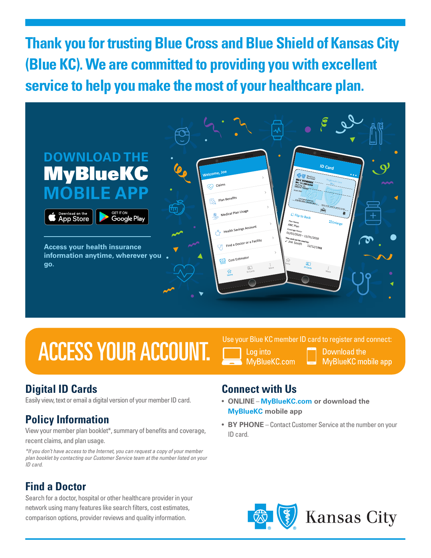**Thank you for trusting Blue Cross and Blue Shield of Kansas City (Blue KC). We are committed to providing you with excellent service to help you make the most of your healthcare plan.**



## **ACCESS YOUR ACCOUNT.**



MvBlueKC.com

Download the **MyBlueKC** mobile app

#### **Digital ID Cards**

Easily view, text or email a digital version of your member ID card.

### **Policy Information**

View your member plan booklet\*, summary of benefits and coverage, recent claims, and plan usage.

*\*If you don't have access to the Internet, you can request a copy of your member plan booklet by contacting our Customer Service team at the number listed on your ID card.*

#### **Find a Doctor**

Search for a doctor, hospital or other healthcare provider in your network using many features like search filters, cost estimates, comparison options, provider reviews and quality information.

#### **Connect with Us**

- **ONLINE MyBlueKC.com or download the MyBlueKC mobile app**
- **BY PHONE** Contact Customer Service at the number on your ID card.